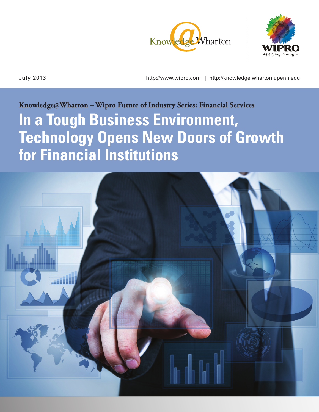



July 2013 http://www.wipro.com | http://knowledge.wharton.upenn.edu

# **Knowledge@Wharton – Wipro Future of Industry Series: Financial Services In a Tough Business Environment, Technology Opens New Doors of Growth for Financial Institutions**

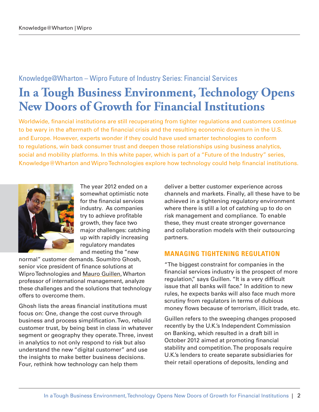### Knowledge@Wharton – Wipro Future of Industry Series: Financial Services

## **In a Tough Business Environment, Technology Opens New Doors of Growth for Financial Institutions**

Worldwide, financial institutions are still recuperating from tighter regulations and customers continue to be wary in the aftermath of the financial crisis and the resulting economic downturn in the U.S. and Europe. However, experts wonder if they could have used smarter technologies to conform to regulations, win back consumer trust and deepen those relationships using business analytics, social and mobility platforms. In this white paper, which is part of a "Future of the Industry" series, Knowledge@Wharton and Wipro Technologies explore how technology could help financial institutions.



The year 2012 ended on a somewhat optimistic note for the financial services industry. As companies try to achieve profitable growth, they face two major challenges: catching up with rapidly increasing regulatory mandates and meeting the "new

normal" customer demands. Soumitro Ghosh, senior vice president of finance solutions at Wipro Technologies and [Mauro Guillen](https://mgmt.wharton.upenn.edu/profile/1324/), Wharton professor of international management, analyze these challenges and the solutions that technology offers to overcome them.

Ghosh lists the areas financial institutions must focus on: One, change the cost curve through business and process simplification. Two, rebuild customer trust, by being best in class in whatever segment or geography they operate. Three, invest in analytics to not only respond to risk but also understand the new "digital customer" and use the insights to make better business decisions. Four, rethink how technology can help them

deliver a better customer experience across channels and markets. Finally, all these have to be achieved in a tightening regulatory environment where there is still a lot of catching up to do on risk management and compliance. To enable these, they must create stronger governance and collaboration models with their outsourcing partners.

#### **MANAGING TIGHTENING REGULATION**

"The biggest constraint for companies in the financial services industry is the prospect of more regulation," says Guillen. "It is a very difficult issue that all banks will face." In addition to new rules, he expects banks will also face much more scrutiny from regulators in terms of dubious money flows because of terrorism, illicit trade, etc.

Guillen refers to the sweeping changes proposed recently by the U.K.'s Independent Commission on Banking, which resulted in a draft bill in October 2012 aimed at promoting financial stability and competition. The proposals require U.K.'s lenders to create separate subsidiaries for their retail operations of deposits, lending and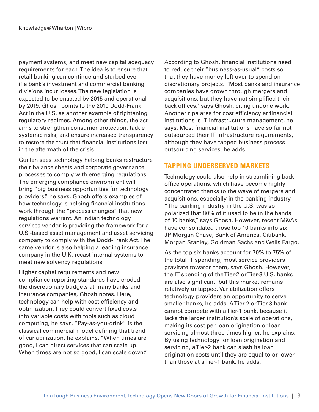payment systems, and meet new capital adequacy requirements for each. The idea is to ensure that retail banking can continue undisturbed even if a bank's investment and commercial banking divisions incur losses. The new legislation is expected to be enacted by 2015 and operational by 2019. Ghosh points to the 2010 Dodd-Frank Act in the U.S. as another example of tightening regulatory regimes. Among other things, the act aims to strengthen consumer protection, tackle systemic risks, and ensure increased transparency to restore the trust that financial institutions lost in the aftermath of the crisis.

Guillen sees technology helping banks restructure their balance sheets and corporate governance processes to comply with emerging regulations. The emerging compliance environment will bring "big business opportunities for technology providers," he says. Ghosh offers examples of how technology is helping financial institutions work through the "process changes" that new regulations warrant. An Indian technology services vendor is providing the framework for a U.S.-based asset management and asset servicing company to comply with the Dodd-Frank Act. The same vendor is also helping a leading insurance company in the U.K. recast internal systems to meet new solvency regulations.

Higher capital requirements and new compliance reporting standards have eroded the discretionary budgets at many banks and insurance companies, Ghosh notes. Here, technology can help with cost efficiency and optimization. They could convert fixed costs into variable costs with tools such as cloud computing, he says. "Pay-as-you-drink" is the classical commercial model defining that trend of variabilization, he explains. "When times are good, I can direct services that can scale up. When times are not so good, I can scale down." According to Ghosh, financial institutions need to reduce their "business-as-usual" costs so that they have money left over to spend on discretionary projects. "Most banks and insurance companies have grown through mergers and acquisitions, but they have not simplified their back offices," says Ghosh, citing undone work. Another ripe area for cost efficiency at financial institutions is IT infrastructure management, he says. Most financial institutions have so far not outsourced their IT infrastructure requirements, although they have tapped business process outsourcing services, he adds.

#### **TAPPING UNDERSERVED MARKETS**

Technology could also help in streamlining backoffice operations, which have become highly concentrated thanks to the wave of mergers and acquisitions, especially in the banking industry. "The banking industry in the U.S. was so polarized that 80% of it used to be in the hands of 10 banks," says Ghosh. However, recent M&As have consolidated those top 10 banks into six: JP Morgan Chase, Bank of America, Citibank, Morgan Stanley, Goldman Sachs and Wells Fargo.

As the top six banks account for 70% to 75% of the total IT spending, most service providers gravitate towards them, says Ghosh. However, the IT spending of the Tier-2 or Tier-3 U.S. banks are also significant, but this market remains relatively untapped. Variabilization offers technology providers an opportunity to serve smaller banks, he adds. A Tier-2 or Tier-3 bank cannot compete with a Tier-1 bank, because it lacks the larger institution's scale of operations, making its cost per loan origination or loan servicing almost three times higher, he explains. By using technology for loan origination and servicing, a Tier-2 bank can slash its loan origination costs until they are equal to or lower than those at a Tier-1 bank, he adds.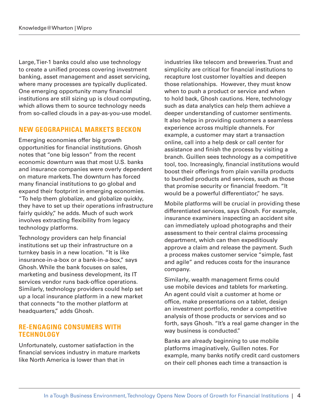Large, Tier-1 banks could also use technology to create a unified process covering investment banking, asset management and asset servicing, where many processes are typically duplicated. One emerging opportunity many financial institutions are still sizing up is cloud computing, which allows them to source technology needs from so-called clouds in a pay-as-you-use model.

#### **NEW GEOGRAPHICAL MARKETS BECKON**

Emerging economies offer big growth opportunities for financial institutions. Ghosh notes that "one big lesson" from the recent economic downturn was that most U.S. banks and insurance companies were overly dependent on mature markets. The downturn has forced many financial institutions to go global and expand their footprint in emerging economies. "To help them globalize, and globalize quickly, they have to set up their operations infrastructure fairly quickly," he adds. Much of such work involves extracting flexibility from legacy technology platforms.

Technology providers can help financial institutions set up their infrastructure on a turnkey basis in a new location. "It is like insurance-in-a-box or a bank-in-a-box," says Ghosh. While the bank focuses on sales, marketing and business development, its IT services vendor runs back-office operations. Similarly, technology providers could help set up a local insurance platform in a new market that connects "to the mother platform at headquarters," adds Ghosh.

#### **RE-ENGAGING CONSUMERS WITH TECHNOLOGY**

Unfortunately, customer satisfaction in the financial services industry in mature markets like North America is lower than that in

industries like telecom and breweries. Trust and simplicity are critical for financial institutions to recapture lost customer loyalties and deepen those relationships. However, they must know when to push a product or service and when to hold back, Ghosh cautions. Here, technology such as data analytics can help them achieve a deeper understanding of customer sentiments. It also helps in providing customers a seamless experience across multiple channels. For example, a customer may start a transaction online, call into a help desk or call center for assistance and finish the process by visiting a branch. Guillen sees technology as a competitive tool, too. Increasingly, financial institutions would boost their offerings from plain vanilla products to bundled products and services, such as those that promise security or financial freedom. "It would be a powerful differentiator," he says.

Mobile platforms will be crucial in providing these differentiated services, says Ghosh. For example, insurance examiners inspecting an accident site can immediately upload photographs and their assessment to their central claims processing department, which can then expeditiously approve a claim and release the payment. Such a process makes customer service "simple, fast and agile" and reduces costs for the insurance company.

Similarly, wealth management firms could use mobile devices and tablets for marketing. An agent could visit a customer at home or office, make presentations on a tablet, design an investment portfolio, render a competitive analysis of those products or services and so forth, says Ghosh. "It's a real game changer in the way business is conducted."

Banks are already beginning to use mobile platforms imaginatively, Guillen notes. For example, many banks notify credit card customers on their cell phones each time a transaction is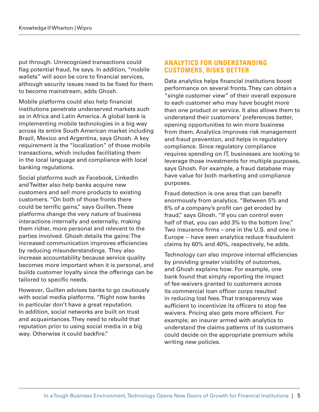put through. Unrecognized transactions could flag potential fraud, he says. In addition, "mobile wallets" will soon be core to financial services, although security issues need to be fixed for them to become mainstream, adds Ghosh.

Mobile platforms could also help financial institutions penetrate underserved markets such as in Africa and Latin America. A global bank is implementing mobile technologies in a big way across its entire South American market including Brazil, Mexico and Argentina, says Ghosh. A key requirement is the "localization" of those mobile transactions, which includes facilitating them in the local language and compliance with local banking regulations.

Social platforms such as Facebook, LinkedIn and Twitter also help banks acquire new customers and sell more products to existing customers. "On both of those fronts there could be terrific gains," says Guillen. These platforms change the very nature of business interactions internally and externally, making them richer, more personal and relevant to the parties involved. Ghosh details the gains: The increased communication improves efficiencies by reducing misunderstandings. They also increase accountability because service quality becomes more important when it is personal, and builds customer loyalty since the offerings can be tailored to specific needs.

However, Guillen advises banks to go cautiously with social media platforms. "Right now banks in particular don't have a great reputation. In addition, social networks are built on trust and acquaintances. They need to rebuild that reputation prior to using social media in a big way. Otherwise it could backfire."

#### **ANALYTICS FOR UNDERSTANDING CUSTOMERS, RISKS BETTER**

Data analytics helps financial institutions boost performance on several fronts. They can obtain a "single customer view" of their overall exposure to each customer who may have bought more than one product or service. It also allows them to understand their customers' preferences better, opening opportunities to win more business from them. Analytics improves risk management and fraud prevention, and helps in regulatory compliance. Since regulatory compliance requires spending on IT, businesses are looking to leverage those investments for multiple purposes, says Ghosh. For example, a fraud database may have value for both marketing and compliance purposes.

Fraud detection is one area that can benefit enormously from analytics. "Between 5% and 6% of a company's profit can get eroded by fraud," says Ghosh. "If you can control even half of that, you can add 3% to the bottom line." Two insurance firms – one in the U.S. and one in Europe -- have seen analytics reduce fraudulent claims by 60% and 40%, respectively, he adds.

Technology can also improve internal efficiencies by providing greater visibility of outcomes, and Ghosh explains how. For example, one bank found that simply reporting the impact of fee-waivers granted to customers across its commercial loan officer corps resulted in reducing lost fees. That transparency was sufficient to incentivize its officers to stop fee waivers. Pricing also gets more efficient. For example, an insurer armed with analytics to understand the claims patterns of its customers could decide on the appropriate premium while writing new policies.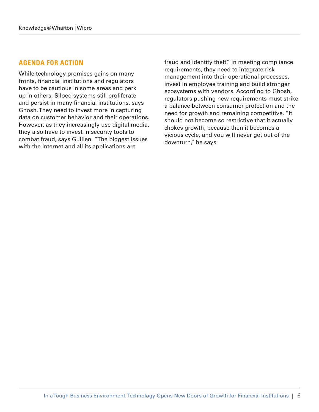#### **AGENDA FOR ACTION**

While technology promises gains on many fronts, financial institutions and regulators have to be cautious in some areas and perk up in others. Siloed systems still proliferate and persist in many financial institutions, says Ghosh. They need to invest more in capturing data on customer behavior and their operations. However, as they increasingly use digital media, they also have to invest in security tools to combat fraud, says Guillen. "The biggest issues with the Internet and all its applications are

fraud and identity theft." In meeting compliance requirements, they need to integrate risk management into their operational processes, invest in employee training and build stronger ecosystems with vendors. According to Ghosh, regulators pushing new requirements must strike a balance between consumer protection and the need for growth and remaining competitive. "It should not become so restrictive that it actually chokes growth, because then it becomes a vicious cycle, and you will never get out of the downturn," he says.